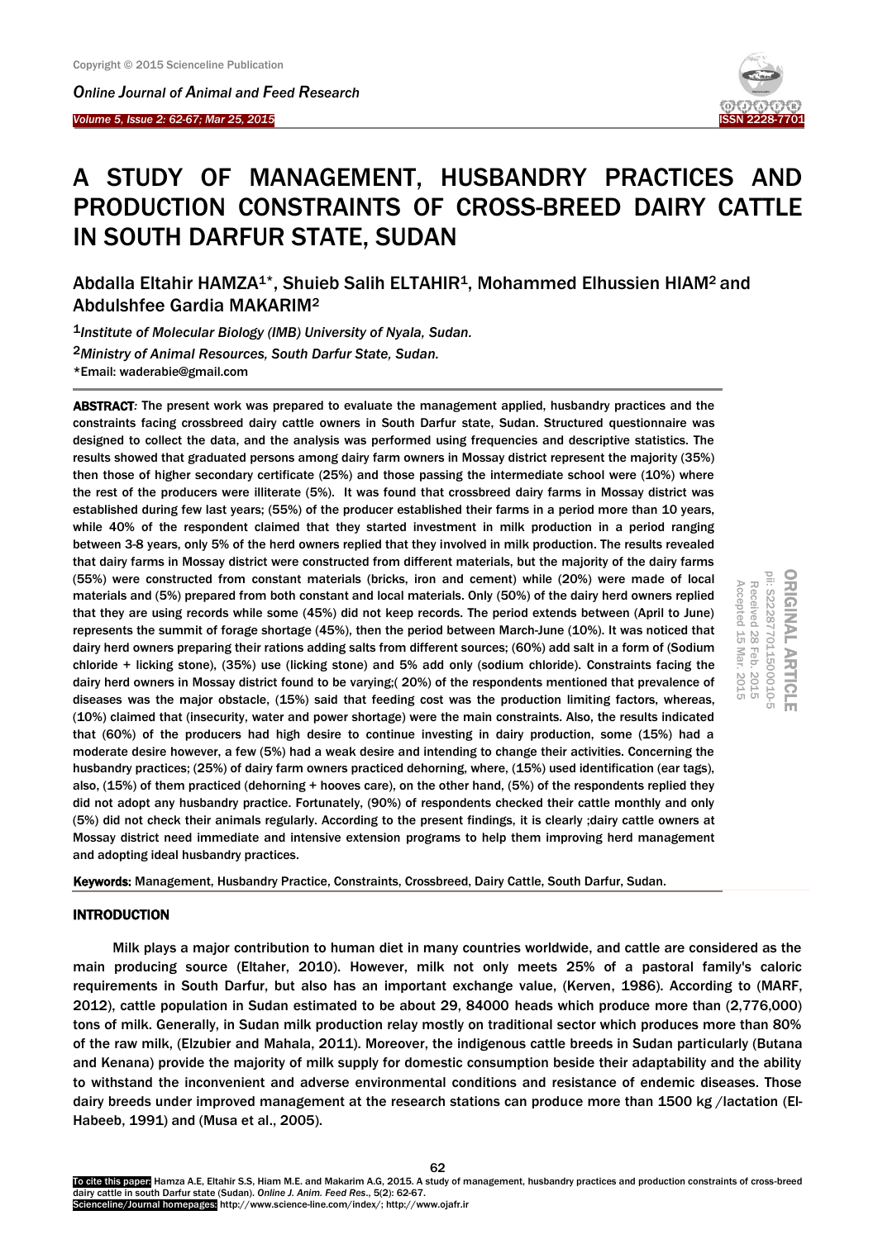I

*Online Journal of A[nimal and](http://www.ojafr.ir/main/) Feed Research Volume 5, Issue 2: 62-67; Mar 25, 2015* 

ORIGINAL ARTICLE<br>pii: S222877011500010-5

Received 28

Received 28 Feb. Accepted 15 Mar.

Accepted 15

Mar. 2015

Feb. 2015

 $.2015$ 2015

# A STUDY OF MANAGEMENT, HUSBANDRY PRACTICES AND PRODUCTION CONSTRAINTS OF CROSS-BREED DAIRY CATTLE IN SOUTH DARFUR STATE, SUDAN

Abdalla Eltahir HAMZA1\*, Shuieb Salih ELTAHIR1, Mohammed Elhussien HIAM<sup>2</sup> and Abdulshfee Gardia MAKARIM<sup>2</sup>

1*Institute of Molecular Biology (IMB) University of Nyala, Sudan.* 2*Ministry of Animal Resources, South Darfur State, Sudan.* \*Email: waderabie@gmail.com

ABSTRACT*:* The present work was prepared to evaluate the management applied, husbandry practices and the constraints facing crossbreed dairy cattle owners in South Darfur state, Sudan. Structured questionnaire was designed to collect the data, and the analysis was performed using frequencies and descriptive statistics. The results showed that graduated persons among dairy farm owners in Mossay district represent the majority (35%) then those of higher secondary certificate (25%) and those passing the intermediate school were (10%) where the rest of the producers were illiterate (5%). It was found that crossbreed dairy farms in Mossay district was established during few last years; (55%) of the producer established their farms in a period more than 10 years, while 40% of the respondent claimed that they started investment in milk production in a period ranging between 3-8 years, only 5% of the herd owners replied that they involved in milk production. The results revealed that dairy farms in Mossay district were constructed from different materials, but the majority of the dairy farms (55%) were constructed from constant materials (bricks, iron and cement) while (20%) were made of local materials and (5%) prepared from both constant and local materials. Only (50%) of the dairy herd owners replied that they are using records while some (45%) did not keep records. The period extends between (April to June) represents the summit of forage shortage (45%), then the period between March-June (10%). It was noticed that dairy herd owners preparing their rations adding salts from different sources; (60%) add salt in a form of (Sodium chloride + licking stone), (35%) use (licking stone) and 5% add only (sodium chloride). Constraints facing the dairy herd owners in Mossay district found to be varying;( 20%) of the respondents mentioned that prevalence of diseases was the major obstacle, (15%) said that feeding cost was the production limiting factors, whereas, (10%) claimed that (insecurity, water and power shortage) were the main constraints. Also, the results indicated that (60%) of the producers had high desire to continue investing in dairy production, some (15%) had a moderate desire however, a few (5%) had a weak desire and intending to change their activities. Concerning the husbandry practices; (25%) of dairy farm owners practiced dehorning, where, (15%) used identification (ear tags), also, (15%) of them practiced (dehorning + hooves care), on the other hand, (5%) of the respondents replied they did not adopt any husbandry practice. Fortunately, (90%) of respondents checked their cattle monthly and only (5%) did not check their animals regularly. According to the present findings, it is clearly ;dairy cattle owners at Mossay district need immediate and intensive extension programs to help them improving herd management and adopting ideal husbandry practices.

Keywords: Management, Husbandry Practice, Constraints, Crossbreed, Dairy Cattle, South Darfur, Sudan.

# **INTRODUCTION**

Milk plays a major contribution to human diet in many countries worldwide, and cattle are considered as the main producing source (Eltaher, 2010). However, milk not only meets 25% of a pastoral family's caloric requirements in South Darfur, but also has an important exchange value, (Kerven, 1986). According to (MARF, 2012), cattle population in Sudan estimated to be about 29, 84000 heads which produce more than (2,776,000) tons of milk. Generally, in Sudan milk production relay mostly on traditional sector which produces more than 80% of the raw milk, (Elzubier and Mahala, 2011). Moreover, the indigenous cattle breeds in Sudan particularly (Butana and Kenana) provide the majority of milk supply for domestic consumption beside their adaptability and the ability to withstand the inconvenient and adverse environmental conditions and resistance of endemic diseases. Those dairy breeds under improved management at the research stations can produce more than 1500 kg /lactation (El-Habeeb, 1991) and (Musa et al., 2005).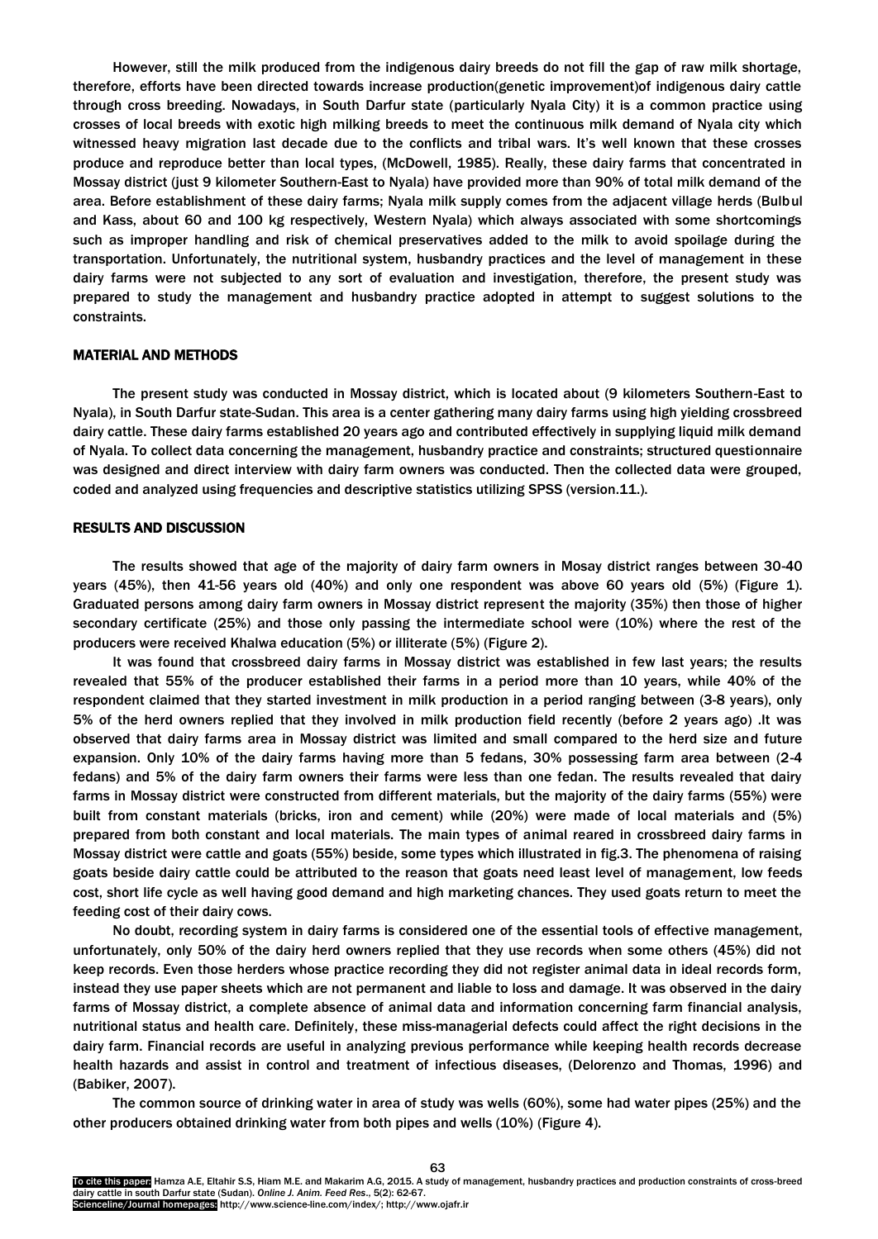However, still the milk produced from the indigenous dairy breeds do not fill the gap of raw milk shortage, therefore, efforts have been directed towards increase production(genetic improvement)of indigenous dairy cattle through cross breeding. Nowadays, in South Darfur state (particularly Nyala City) it is a common practice using crosses of local breeds with exotic high milking breeds to meet the continuous milk demand of Nyala city which witnessed heavy migration last decade due to the conflicts and tribal wars. It's well known that these crosses produce and reproduce better than local types, (McDowell, 1985). Really, these dairy farms that concentrated in Mossay district (just 9 kilometer Southern-East to Nyala) have provided more than 90% of total milk demand of the area. Before establishment of these dairy farms; Nyala milk supply comes from the adjacent village herds (Bulbul and Kass, about 60 and 100 kg respectively, Western Nyala) which always associated with some shortcomings such as improper handling and risk of chemical preservatives added to the milk to avoid spoilage during the transportation. Unfortunately, the nutritional system, husbandry practices and the level of management in these dairy farms were not subjected to any sort of evaluation and investigation, therefore, the present study was prepared to study the management and husbandry practice adopted in attempt to suggest solutions to the constraints.

#### MATERIAL AND METHODS

The present study was conducted in Mossay district, which is located about (9 kilometers Southern-East to Nyala), in South Darfur state-Sudan. This area is a center gathering many dairy farms using high yielding crossbreed dairy cattle. These dairy farms established 20 years ago and contributed effectively in supplying liquid milk demand of Nyala. To collect data concerning the management, husbandry practice and constraints; structured questionnaire was designed and direct interview with dairy farm owners was conducted. Then the collected data were grouped, coded and analyzed using frequencies and descriptive statistics utilizing SPSS (version.11.).

### RESULTS AND DISCUSSION

The results showed that age of the majority of dairy farm owners in Mosay district ranges between 30-40 years (45%), then 41-56 years old (40%) and only one respondent was above 60 years old (5%) (Figure 1). Graduated persons among dairy farm owners in Mossay district represent the majority (35%) then those of higher secondary certificate (25%) and those only passing the intermediate school were (10%) where the rest of the producers were received Khalwa education (5%) or illiterate (5%) (Figure 2).

It was found that crossbreed dairy farms in Mossay district was established in few last years; the results revealed that 55% of the producer established their farms in a period more than 10 years, while 40% of the respondent claimed that they started investment in milk production in a period ranging between (3-8 years), only 5% of the herd owners replied that they involved in milk production field recently (before 2 years ago) .It was observed that dairy farms area in Mossay district was limited and small compared to the herd size and future expansion. Only 10% of the dairy farms having more than 5 fedans, 30% possessing farm area between (2-4 fedans) and 5% of the dairy farm owners their farms were less than one fedan. The results revealed that dairy farms in Mossay district were constructed from different materials, but the majority of the dairy farms (55%) were built from constant materials (bricks, iron and cement) while (20%) were made of local materials and (5%) prepared from both constant and local materials. The main types of animal reared in crossbreed dairy farms in Mossay district were cattle and goats (55%) beside, some types which illustrated in fig.3. The phenomena of raising goats beside dairy cattle could be attributed to the reason that goats need least level of management, low feeds cost, short life cycle as well having good demand and high marketing chances. They used goats return to meet the feeding cost of their dairy cows.

No doubt, recording system in dairy farms is considered one of the essential tools of effective management, unfortunately, only 50% of the dairy herd owners replied that they use records when some others (45%) did not keep records. Even those herders whose practice recording they did not register animal data in ideal records form, instead they use paper sheets which are not permanent and liable to loss and damage. It was observed in the dairy farms of Mossay district, a complete absence of animal data and information concerning farm financial analysis, nutritional status and health care. Definitely, these miss-managerial defects could affect the right decisions in the dairy farm. Financial records are useful in analyzing previous performance while keeping health records decrease health hazards and assist in control and treatment of infectious diseases, (Delorenzo and Thomas, 1996) and (Babiker, 2007).

The common source of drinking water in area of study was wells (60%), some had water pipes (25%) and the other producers obtained drinking water from both pipes and wells (10%) (Figure 4).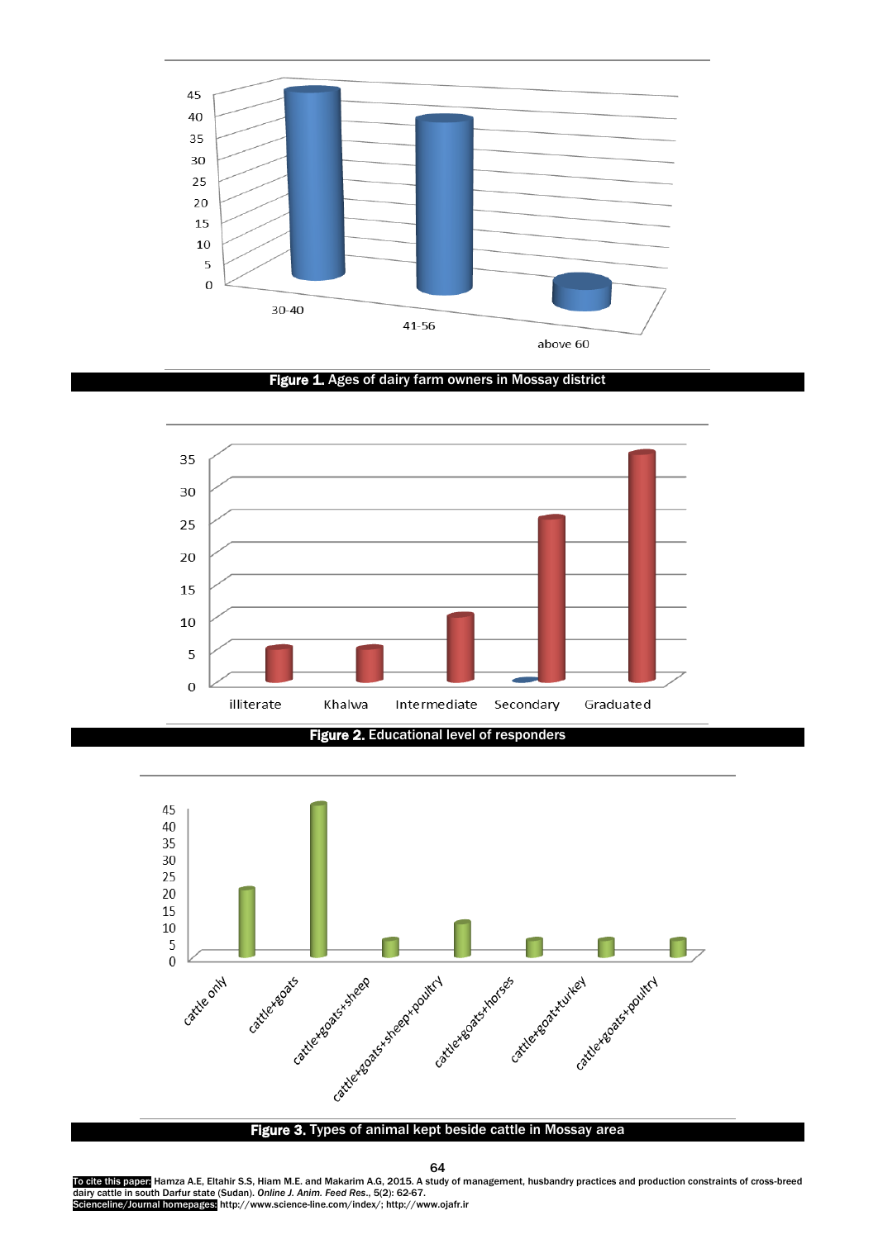

Figure 1. Ages of dairy farm owners in Mossay district



Figure 2. Educational level of responders

l,



## Figure 3. Types of animal kept beside cattle in Mossay area

64

To cite this paper<mark>:</mark> Hamza A.E, Eltahir S.S, Hiam M.E. and Makarim A.G, 2015. A study of management, husbandry practices and production constraints of cross-breed<br>dairy cattle in south Darfur state (Sudan). *Online J. Ani* Scienceline/Journal homepages: http://www.science-line.com/index/; http://www.ojafr.ir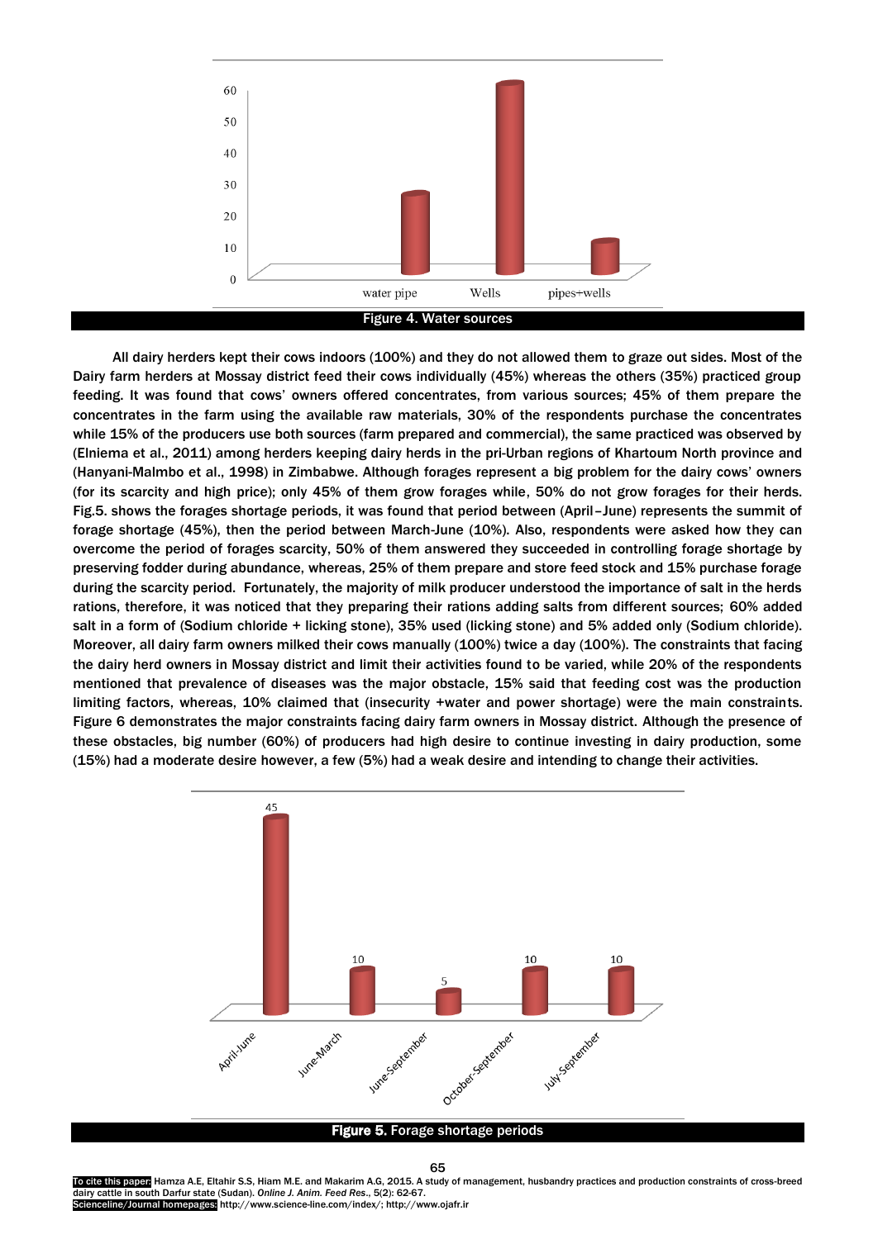

All dairy herders kept their cows indoors (100%) and they do not allowed them to graze out sides. Most of the Dairy farm herders at Mossay district feed their cows individually (45%) whereas the others (35%) practiced group feeding. It was found that cows' owners offered concentrates, from various sources; 45% of them prepare the concentrates in the farm using the available raw materials, 30% of the respondents purchase the concentrates while 15% of the producers use both sources (farm prepared and commercial), the same practiced was observed by (Elniema et al., 2011) among herders keeping dairy herds in the pri-Urban regions of Khartoum North province and (Hanyani-Malmbo et al., 1998) in Zimbabwe. Although forages represent a big problem for the dairy cows' owners (for its scarcity and high price); only 45% of them grow forages while, 50% do not grow forages for their herds. Fig.5. shows the forages shortage periods, it was found that period between (April–June) represents the summit of forage shortage (45%), then the period between March-June (10%). Also, respondents were asked how they can overcome the period of forages scarcity, 50% of them answered they succeeded in controlling forage shortage by preserving fodder during abundance, whereas, 25% of them prepare and store feed stock and 15% purchase forage during the scarcity period. Fortunately, the majority of milk producer understood the importance of salt in the herds rations, therefore, it was noticed that they preparing their rations adding salts from different sources; 60% added salt in a form of (Sodium chloride + licking stone), 35% used (licking stone) and 5% added only (Sodium chloride). Moreover, all dairy farm owners milked their cows manually (100%) twice a day (100%). The constraints that facing the dairy herd owners in Mossay district and limit their activities found to be varied, while 20% of the respondents mentioned that prevalence of diseases was the major obstacle, 15% said that feeding cost was the production limiting factors, whereas, 10% claimed that (insecurity +water and power shortage) were the main constraints. Figure 6 demonstrates the major constraints facing dairy farm owners in Mossay district. Although the presence of these obstacles, big number (60%) of producers had high desire to continue investing in dairy production, some (15%) had a moderate desire however, a few (5%) had a weak desire and intending to change their activities.



#### Figure 5. Forage shortage periods

To cite this paper: Hamza A.E, Eltahir S.S, Hiam M.E. and Makarim A.G, 2015. A study of management, husbandry practices and production constraints of cross-breed dairy cattle in south Darfur state (Sudan). *Online J. Anim. Feed Res*., 5(2): 62-67. Scienceline/Journal homepages: http://www.science-line.com/index/; http://www.ojafr.ir

65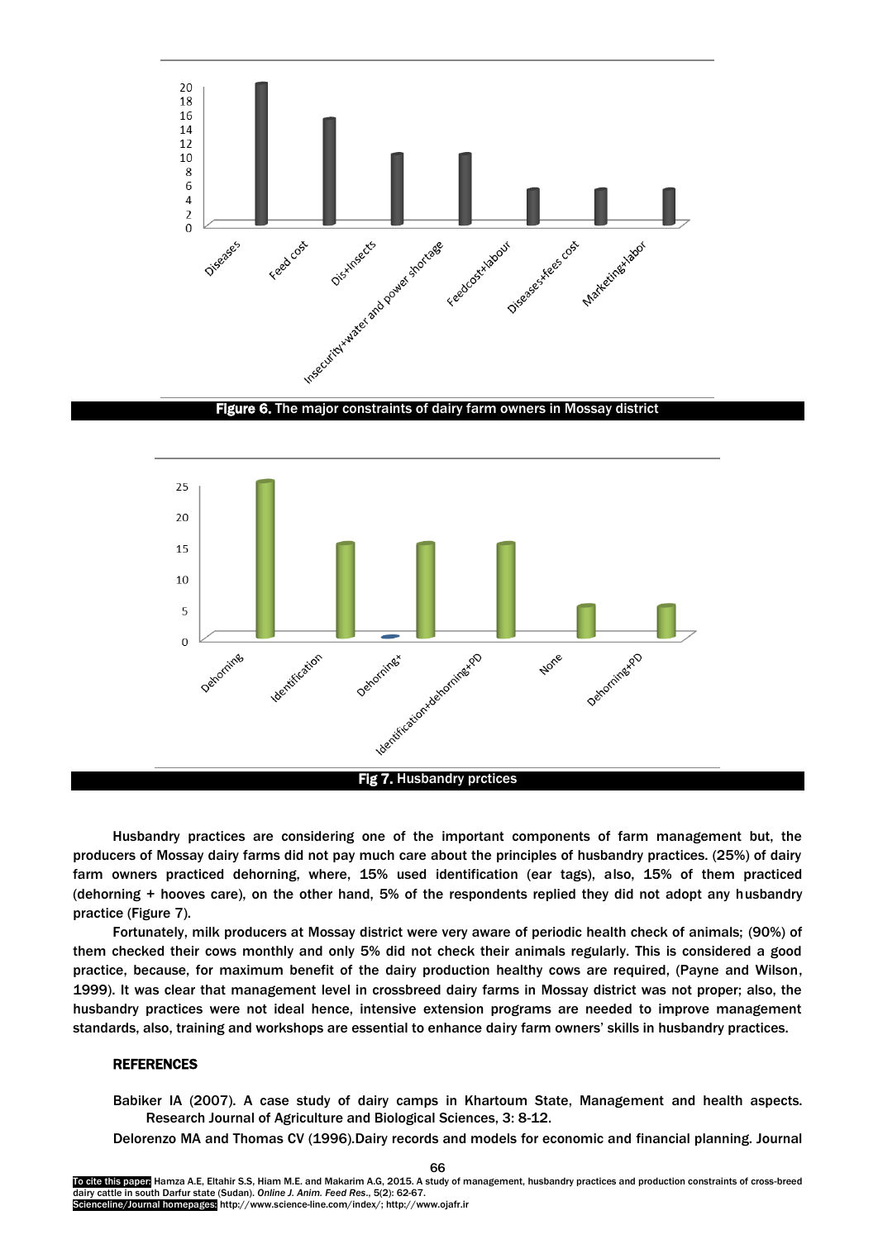



Husbandry practices are considering one of the important components of farm management but, the producers of Mossay dairy farms did not pay much care about the principles of husbandry practices. (25%) of dairy farm owners practiced dehorning, where, 15% used identification (ear tags), also, 15% of them practiced (dehorning + hooves care), on the other hand, 5% of the respondents replied they did not adopt any husbandry practice (Figure 7).

Fortunately, milk producers at Mossay district were very aware of periodic health check of animals; (90%) of them checked their cows monthly and only 5% did not check their animals regularly. This is considered a good practice, because, for maximum benefit of the dairy production healthy cows are required, (Payne and Wilson, 1999). It was clear that management level in crossbreed dairy farms in Mossay district was not proper; also, the husbandry practices were not ideal hence, intensive extension programs are needed to improve management standards, also, training and workshops are essential to enhance dairy farm owners' skills in husbandry practices.

#### REFERENCES

Babiker IA (2007). A case study of dairy camps in Khartoum State, Management and health aspects. Research Journal of Agriculture and Biological Sciences, 3: 8-12.

Delorenzo MA and Thomas CV (1996).Dairy records and models for economic and financial planning. Journal

66